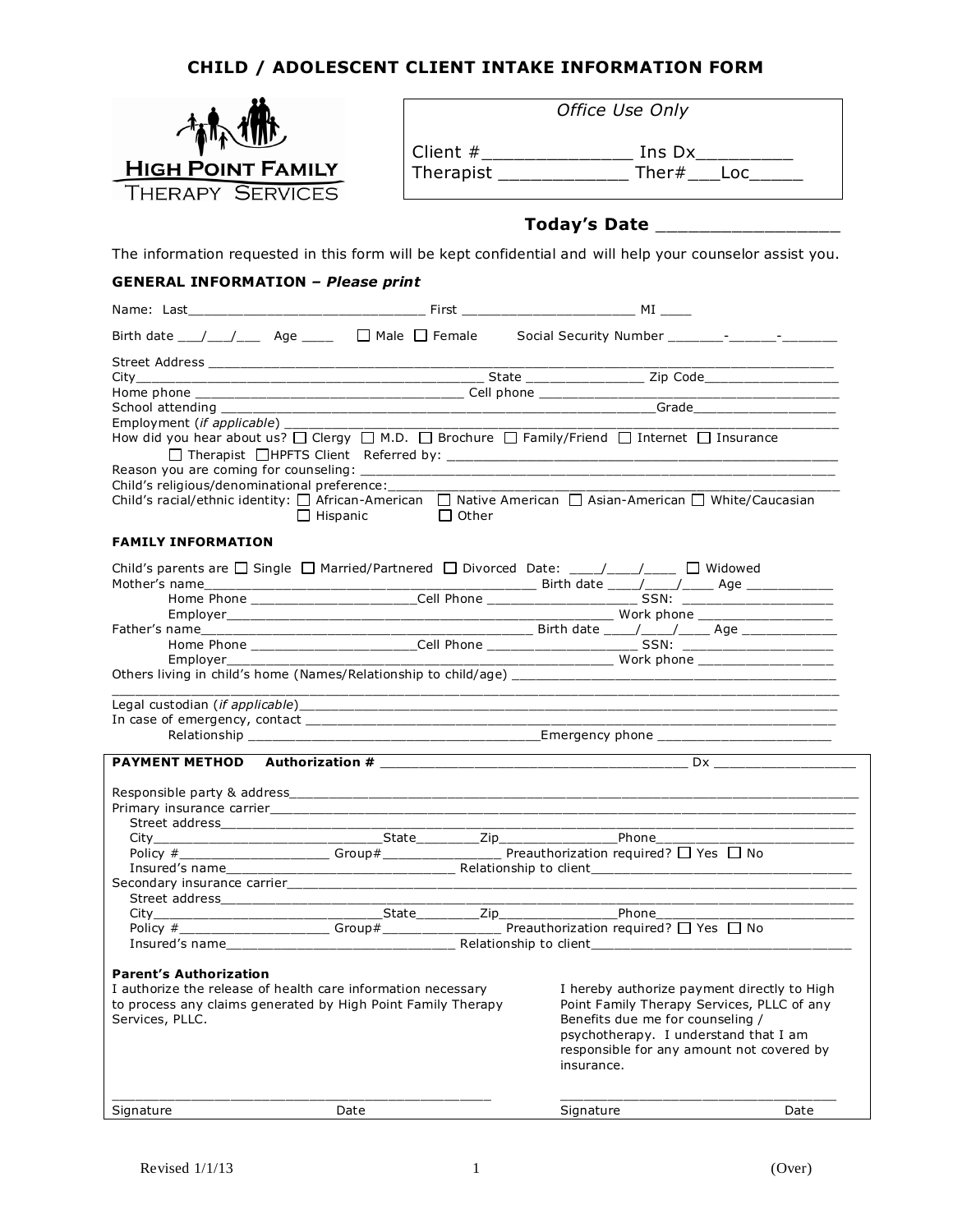## **CHILD / ADOLESCENT CLIENT INTAKE INFORMATION FORM**



|           | Office Use Only |
|-----------|-----------------|
| Client #  | Ins Dx          |
| Therapist | Ther#<br>- Loc  |

## **Today's Date** \_\_\_\_\_\_\_\_\_\_\_\_\_\_\_\_\_

The information requested in this form will be kept confidential and will help your counselor assist you.

## **GENERAL INFORMATION** *– Please print*

| Employment ( <i>if applicable</i> )<br>How did you hear about us? $\Box$ Clergy $\Box$ M.D. $\Box$ Brochure $\Box$ Family/Friend $\Box$ Internet $\Box$ Insurance<br>Child's religious/denominational preference:<br>Child's racial/ethnic identity: □ African-American □ Native American □ Asian-American □ White/Caucasian |                    |                                                                                                                               |                 |
|------------------------------------------------------------------------------------------------------------------------------------------------------------------------------------------------------------------------------------------------------------------------------------------------------------------------------|--------------------|-------------------------------------------------------------------------------------------------------------------------------|-----------------|
|                                                                                                                                                                                                                                                                                                                              | □ Hispanic □ Other |                                                                                                                               |                 |
| <b>FAMILY INFORMATION</b>                                                                                                                                                                                                                                                                                                    |                    |                                                                                                                               |                 |
| Child's parents are $\Box$ Single $\Box$ Married/Partnered $\Box$ Divorced Date: ____/____/____ $\Box$ Widowed                                                                                                                                                                                                               |                    |                                                                                                                               |                 |
|                                                                                                                                                                                                                                                                                                                              |                    |                                                                                                                               |                 |
| Father's name Home Phone Mome Phone Cell Phone Cell Phone Cell Phone Cell Phone Cell Phone Cell Phone Cell Phone Cell Phone Cell Phone Cell Phone Cell Phone Cell Phone Cell Phone Cell Phone Cell Phone Cell Phone Cell Phone                                                                                               |                    |                                                                                                                               |                 |
|                                                                                                                                                                                                                                                                                                                              |                    |                                                                                                                               |                 |
| Employer                                                                                                                                                                                                                                                                                                                     |                    |                                                                                                                               |                 |
|                                                                                                                                                                                                                                                                                                                              |                    |                                                                                                                               |                 |
|                                                                                                                                                                                                                                                                                                                              |                    |                                                                                                                               |                 |
|                                                                                                                                                                                                                                                                                                                              |                    | <u> 1980 - Johann Stoff, deutscher Stoffen und der Stoffen und der Stoffen und der Stoffen und der Stoffen und der</u>        | $\overline{Dx}$ |
|                                                                                                                                                                                                                                                                                                                              |                    |                                                                                                                               |                 |
|                                                                                                                                                                                                                                                                                                                              |                    |                                                                                                                               |                 |
|                                                                                                                                                                                                                                                                                                                              |                    |                                                                                                                               |                 |
|                                                                                                                                                                                                                                                                                                                              |                    |                                                                                                                               |                 |
|                                                                                                                                                                                                                                                                                                                              |                    |                                                                                                                               |                 |
|                                                                                                                                                                                                                                                                                                                              |                    |                                                                                                                               |                 |
|                                                                                                                                                                                                                                                                                                                              |                    |                                                                                                                               |                 |
|                                                                                                                                                                                                                                                                                                                              |                    |                                                                                                                               |                 |
|                                                                                                                                                                                                                                                                                                                              |                    |                                                                                                                               |                 |
|                                                                                                                                                                                                                                                                                                                              |                    |                                                                                                                               |                 |
| <b>Parent's Authorization</b><br>I authorize the release of health care information necessary<br>to process any claims generated by High Point Family Therapy<br>Services, PLLC.                                                                                                                                             |                    | I hereby authorize payment directly to High<br>Point Family Therapy Services, PLLC of any<br>Benefits due me for counseling / |                 |
|                                                                                                                                                                                                                                                                                                                              |                    | psychotherapy. I understand that I am<br>responsible for any amount not covered by<br>insurance.                              |                 |
| Signature                                                                                                                                                                                                                                                                                                                    | Date               | Signature                                                                                                                     | Date            |